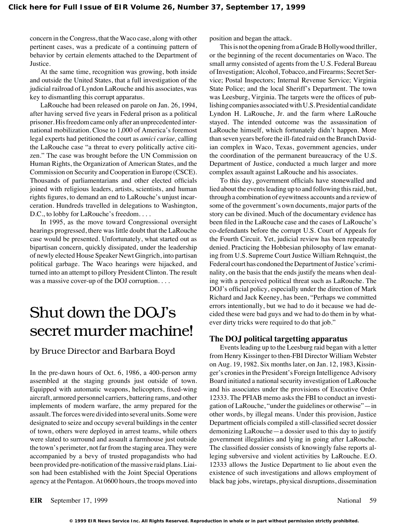concern in the Congress, that the Waco case, along with other pertinent cases, was a predicate of a continuing pattern of behavior by certain elements attached to the Department of Justice.

At the same time, recognition was growing, both inside and outside the United States, that a full investigation of the judicial railroad of Lyndon LaRouche and his associates, was key to dismantling this corrupt apparatus.

LaRouche had been released on parole on Jan. 26, 1994, after having served five years in Federal prison as a political prisoner. His freedom came only after an unprecedented international mobilization. Close to 1,000 of America's foremost legal experts had petitioned the court as *amici curiae,* calling the LaRouche case "a threat to every politically active citizen." The case was brought before the UN Commission on Human Rights, the Organization of American States, and the Commission on Security and Cooperation in Europe (CSCE). Thousands of parliamentarians and other elected officials joined with religious leaders, artists, scientists, and human rights figures, to demand an end to LaRouche's unjust incarceration. Hundreds travelled in delegations to Washington, D.C., to lobby for LaRouche's freedom...

In 1995, as the move toward Congressional oversight hearings progressed, there was little doubt that the LaRouche case would be presented. Unfortunately, what started out as bipartisan concern, quickly dissipated, under the leadership of newly elected House Speaker Newt Gingrich, into partisan political garbage. The Waco hearings were hijacked, and turned into an attempt to pillory President Clinton. The result was a massive cover-up of the DOJ corruption. . . .

## Shut down the DOJ's secret murder machine!

## by Bruce Director and Barbara Boyd

In the pre-dawn hours of Oct. 6, 1986, a 400-person army assembled at the staging grounds just outside of town. Equipped with automatic weapons, helicopters, fixed-wing aircraft, armored personnel carriers, battering rams, and other implements of modern warfare, the army prepared for the assault. The forces were divided into several units. Some were designated to seize and occupy several buildings in the center of town, others were deployed in arrest teams, while others were slated to surround and assault a farmhouse just outside the town's perimeter, not far from the staging area. They were accompanied by a bevy of trusted propagandists who had been provided pre-notification of the massive raid plans. Liaison had been established with the Joint Special Operations agency at the Pentagon. At 0600 hours, the troops moved into position and began the attack.

This is not the opening from a Grade B Hollywood thriller, or the beginning of the recent documentaries on Waco. The small army consisted of agents from the U.S. Federal Bureau of Investigation; Alcohol, Tobacco, and Firearms; Secret Service; Postal Inspectors; Internal Revenue Service; Virginia State Police; and the local Sheriff's Department. The town was Leesburg, Virginia. The targets were the offices of publishing companies associated with U.S. Presidential candidate Lyndon H. LaRouche, Jr. and the farm where LaRouche stayed. The intended outcome was the assassination of LaRouche himself, which fortunately didn't happen. More than seven years before the ill-fated raid on the Branch Davidian complex in Waco, Texas, government agencies, under the coordination of the permanent bureaucracy of the U.S. Department of Justice, conducted a much larger and more complex assault against LaRouche and his associates.

To this day, government officials have stonewalled and lied about the events leading up to and following this raid, but, through a combination of eyewitness accounts and a review of some of the government's own documents, major parts of the story can be divined. Much of the documentary evidence has been filed in the LaRouche case and the cases of LaRouche's co-defendants before the corrupt U.S. Court of Appeals for the Fourth Circuit. Yet, judicial review has been repeatedly denied. Practicing the Hobbesian philosophy of law emanating from U.S. Supreme Court Justice William Rehnquist, the Federal court has condoned the Department of Justice's criminality, on the basis that the ends justify the means when dealing with a perceived political threat such as LaRouche. The DOJ's official policy, especially under the direction of Mark Richard and Jack Keeney, has been, "Perhaps we committed errors intentionally, but we had to do it because we had decided these were bad guys and we had to do them in by whatever dirty tricks were required to do that job."

## **The DOJ political targetting apparatus**

Events leading up to the Leesburg raid began with a letter from Henry Kissinger to then-FBI Director William Webster on Aug. 19, 1982. Six months later, on Jan. 12, 1983, Kissinger's cronies in the President's Foreign Intelligence Advisory Board initiated a national security investigation of LaRouche and his associates under the provisions of Executive Order 12333. The PFIAB memo asks the FBI to conduct an investigation of LaRouche, "under the guidelines or otherwise"—in other words, by illegal means. Under this provision, Justice Department officials compiled a still-classified secret dossier demonizing LaRouche—a dossier used to this day to justify government illegalities and lying in going after LaRouche. The classified dossier consists of knowingly false reports alleging subversive and violent activities by LaRouche. E.O. 12333 allows the Justice Department to lie about even the existence of such investigations and allows employment of black bag jobs, wiretaps, physical disruptions, dissemination